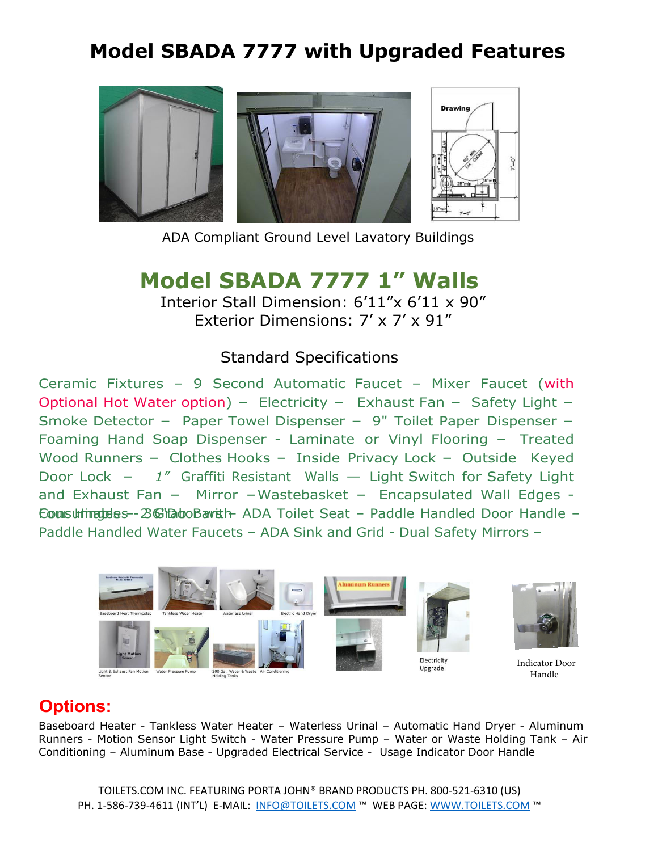# **Model SBADA 7777 with Upgraded Features**



ADA Compliant Ground Level Lavatory Buildings

## **Model SBADA 7777 1" Walls**

Interior Stall Dimension: 6'11"x 6'11 x 90" Exterior Dimensions: 7' x 7' x 91"

#### Standard Specifications

Ceramic Fixtures – 9 Second Automatic Faucet – Mixer Faucet (with Optional Hot Water option) - Electricity - Exhaust Fan - Safety Light -Smoke Detector - Paper Towel Dispenser - 9" Toilet Paper Dispenser -Foaming Hand Soap Dispenser - Laminate or Vinyl Flooring - Treated Wood Runners - Clothes Hooks - Inside Privacy Lock - Outside Keyed Door Lock - *<sup>1</sup>"* Graffiti Resistant Walls – Light Switch for Safety Light and Exhaust Fan  $-$  Mirror  $-Wastebasket - Encapsulated Wall Edges -$ Eounsultinateles -- 2 G'habo Bavith ADA Toilet Seat – Paddle Handled Door Handle – Paddle Handled Water Faucets – ADA Sink and Grid - Dual Safety Mirrors –



### **Options:**

Baseboard Heater - Tankless Water Heater – Waterless Urinal – Automatic Hand Dryer - Aluminum Runners - Motion Sensor Light Switch - Water Pressure Pump – Water or Waste Holding Tank – Air Conditioning – Aluminum Base - Upgraded Electrical Service - Usage Indicator Door Handle